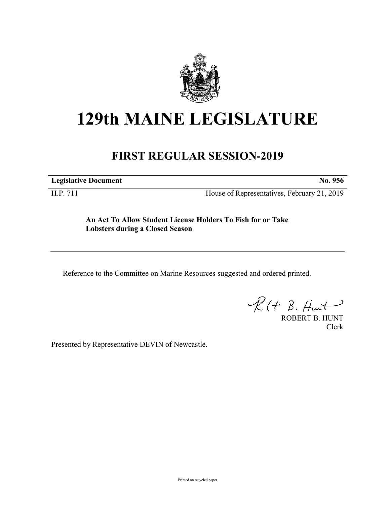

## **129th MAINE LEGISLATURE**

## **FIRST REGULAR SESSION-2019**

**Legislative Document No. 956**

H.P. 711 House of Representatives, February 21, 2019

**An Act To Allow Student License Holders To Fish for or Take Lobsters during a Closed Season**

Reference to the Committee on Marine Resources suggested and ordered printed.

 $R(H B. H<sub>un</sub>)$ 

ROBERT B. HUNT Clerk

Presented by Representative DEVIN of Newcastle.